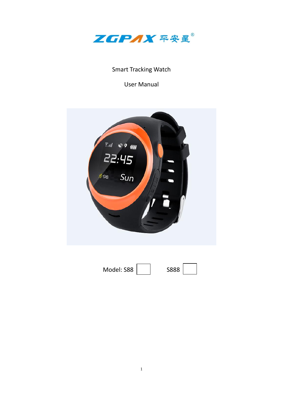

# Smart Tracking Watch

User Manual



| Model: S88 | S888 |  |
|------------|------|--|
|            |      |  |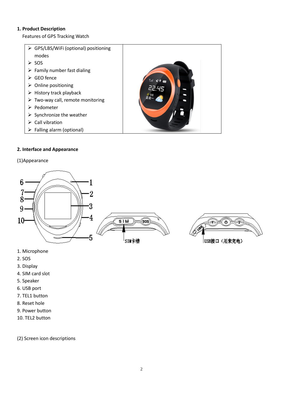## **1. Product Description**

Features of GPS Tracking Watch

 GPS/LBS/WiFi (optional) positioning modes  $\triangleright$  SOS  $\triangleright$  Family number fast dialing  $\triangleright$  GEO fence  $\triangleright$  Online positioning  $\triangleright$  History track playback  $\triangleright$  Two-way call, remote monitoring > Pedometer  $\triangleright$  Synchronize the weather  $\triangleright$  Call vibration Falling alarm (optional)

# **2. Interface and Appearance**

## (1)Appearance



- 1. Microphone
- 2. SOS
- 3. Display
- 4. SIM card slot
- 5. Speaker
- 6. USB port
- 7. TEL1 button
- 8. Reset hole
- 9. Power button
- 10. TEL2 button

(2) Screen icon descriptions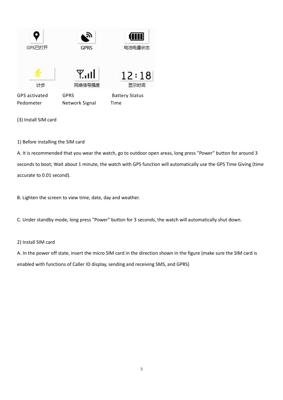| GPS已打开                            | <b>GPRS</b>                   | 电池电量状态                        |
|-----------------------------------|-------------------------------|-------------------------------|
| 计步                                | اس¥<br>网络信号强度                 | 12:18<br>显示时间                 |
| <b>GPS</b> activated<br>Pedometer | <b>GPRS</b><br>Network Signal | <b>Battery Status</b><br>Time |

(3) Install SIM card

1) Before installing the SIM card

A. It is recommended that you wear the watch, go to outdoor open areas, long press "Power" button for around 3 seconds to boot; Wait about 1 minute, the watch with GPS function will automatically use the GPS Time Giving (time accurate to 0.01 second).

B. Lighten the screen to view time, date, day and weather.

C. Under standby mode, long press "Power" button for 3 seconds, the watch will automatically shut down.

#### 2) Install SIM card

A. In the power off state, insert the micro SIM card in the direction shown in the figure (make sure the SIM card is enabled with functions of Caller ID display, sending and receiving SMS, and GPRS)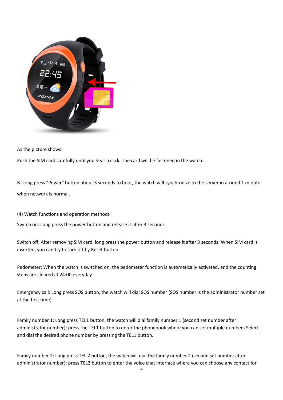

As the picture shows:

Push the SIM card carefully until you hear a click. The card will be fastened in the watch.

B. Long press "Power" button about 3 seconds to boot, the watch will synchronize to the server in around 1 minute when network is normal.

(4) Watch functions and operation methods

Switch on: Long press the power button and release it after 3 seconds

Switch off: After removing SIM card, long press the power button and release it after 3 seconds. When SIM card is inserted, you can try to turn off by Reset button.

Pedometer: When the watch is switched on, the pedometer function is automatically activated, and the counting steps are cleared at 24:00 everyday.

Emergency call: Long press SOS button, the watch will dial SOS number (SOS number is the administrator number set at the first time).

Family number 1: Long press TEL1 button, the watch will dial family number 1 (second set number after administrator number); press the TEL1 button to enter the phonebook where you can set multiple numbers.Select and dial the desired phone number by pressing the TEL1 button.

Family number 2: Long press TEL 2 button, the watch will dial the family number 2 (second set number after administrator number); press TEL2 button to enter the voice chat interface where you can choose any contact for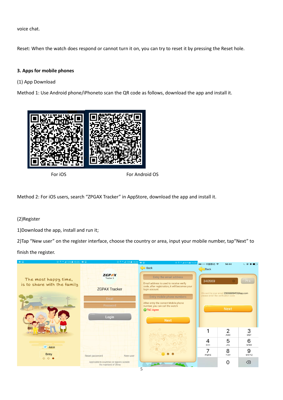voice chat.

Reset: When the watch does respond or cannot turn it on, you can try to reset it by pressing the Reset hole.

## **3. Apps for mobile phones**

(1) App Download

Method 1: Use Android phone/iPhoneto scan the QR code as follows, download the app and install it.



For iOS For Android OS

Method 2: For iOS users, search "ZPGAX Tracker" in AppStore, download the app and install it.

# (2)Register

1)Download the app, install and run it;

2)Tap "New user" on the register interface, choose the country or area, input your mobile number, tap"Next" to

## finish the register.

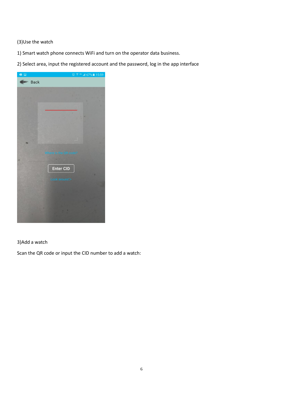# (3)Use the watch

- 1) Smart watch phone connects WiFi and turn on the operator data business.
- 2) Select area, input the registered account and the password, log in the app interface



# 3)Add a watch

Scan the QR code or input the CID number to add a watch: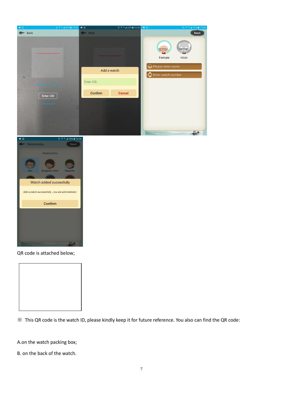



QR code is attached below;



※ This QR code is the watch ID, please kindly keep it for future reference. You also can find the QR code:

A.on the watch packing box;

B. on the back of the watch.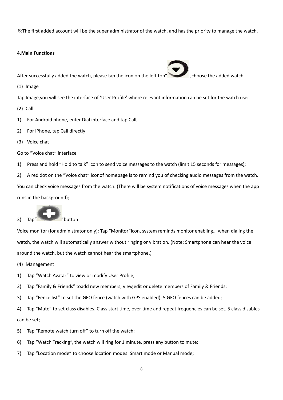※The first added account will be the super administrator of the watch, and has the priority to manage the watch.

#### **4.Main Functions**

After successfully added the watch, please tap the icon on the left top" ",choose the added watch.

(1) Image

Tap Image,you will see the interface of 'User Profile' where relevant information can be set for the watch user.

- (2) Call
- 1) For Android phone, enter Dial interface and tap Call;
- 2) For iPhone, tap Call directly
- (3) Voice chat

Go to "Voice chat" interface

1) Press and hold "Hold to talk" icon to send voice messages to the watch (limit 15 seconds for messages);

2) A red dot on the "Voice chat" iconof homepage is to remind you of checking audio messages from the watch.

You can check voice messages from the watch. (There will be system notifications of voice messages when the app runs in the background);



Voice monitor (for administrator only): Tap "Monitor"icon, system reminds monitor enabling… when dialing the watch, the watch will automatically answer without ringing or vibration. (Note: Smartphone can hear the voice around the watch, but the watch cannot hear the smartphone.)

(4) Management

- 1) Tap "Watch Avatar" to view or modify User Profile;
- 2) Tap "Family & Friends" toadd new members, view,edit or delete members of Family & Friends;
- 3) Tap "Fence list" to set the GEO fence (watch with GPS enabled); 5 GEO fences can be added;

4) Tap "Mute" to set class disables. Class start time, over time and repeat frequencies can be set. 5 class disables can be set;

- 5) Tap "Remote watch turn off" to turn off the watch;
- 6) Tap "Watch Tracking", the watch will ring for 1 minute, press any button to mute;
- 7) Tap "Location mode" to choose location modes: Smart mode or Manual mode;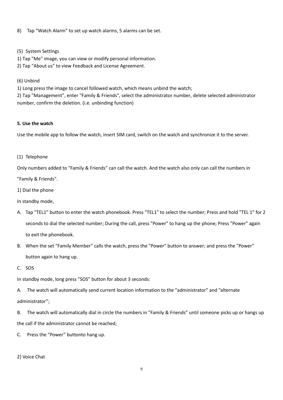8) Tap "Watch Alarm" to set up watch alarms, 5 alarms can be set.

(5) System Settings

1) Tap "Me" image, you can view or modify personal information.

2) Tap "About us" to view Feedback and License Agreement.

(6) Unbind

1) Long press the image to cancel followed watch, which means unbind the watch;

2) Tap "Management", enter "Family & Friends", select the administrator number, delete selected administrator number, confirm the deletion. (i.e. unbinding function)

## **5. Use the watch**

Use the mobile app to follow the watch, insert SIM card, switch on the watch and synchronize it to the server.

(1) Telephone

Only numbers added to "Family & Friends" can call the watch. And the watch also only can call the numbers in "Family & Friends".

1) Dial the phone

In standby mode,

- A. Tap "TEL1" button to enter the watch phonebook. Press "TEL1" to select the number; Press and hold "TEL 1" for 2 seconds to dial the selected number; During the call, press "Power" to hang up the phone; Press "Power" again to exit the phonebook.
- B. When the set "Family Member" calls the watch, press the "Power" button to answer; and press the "Power" button again to hang up.
- C. SOS

In standby mode, long press "SOS" button for about 3 seconds:

A. The watch will automatically send current location information to the "administrator" and "alternate administrator";

B. The watch will automatically dial in circle the numbers in "Family & Friends" until someone picks up or hangs up the call if the administrator cannot be reached;

- C. Press the "Power" buttonto hang up.
- 2) Voice Chat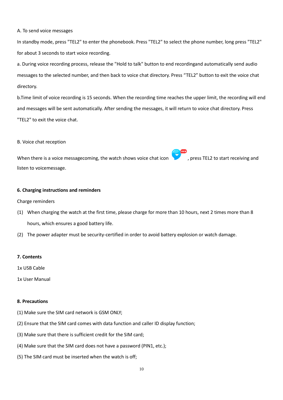A. To send voice messages

In standby mode, press "TEL2" to enter the phonebook. Press "TEL2" to select the phone number, long press "TEL2" for about 3 seconds to start voice recording.

a. During voice recording process, release the "Hold to talk" button to end recordingand automatically send audio messages to the selected number, and then back to voice chat directory. Press "TEL2" button to exit the voice chat directory.

b.Time limit of voice recording is 15 seconds. When the recording time reaches the upper limit, the recording will end and messages will be sent automatically. After sending the messages, it will return to voice chat directory. Press "TEL2" to exit the voice chat.

B. Voice chat reception

When there is a voice messagecoming, the watch shows voice chat icon , press TEL2 to start receiving and listen to voicemessage.

#### **6. Charging instructions and reminders**

Charge reminders

- (1) When charging the watch at the first time, please charge for more than 10 hours, next 2 times more than 8 hours, which ensures a good battery life.
- (2) The power adapter must be security-certified in order to avoid battery explosion or watch damage.
- **7. Contents**
- 1x USB Cable
- 1x User Manual

#### **8. Precautions**

- (1) Make sure the SIM card network is GSM ONLY;
- (2) Ensure that the SIM card comes with data function and caller ID display function;
- (3) Make sure that there is sufficient credit for the SIM card;
- (4) Make sure that the SIM card does not have a password (PIN1, etc.);
- (5) The SIM card must be inserted when the watch is off;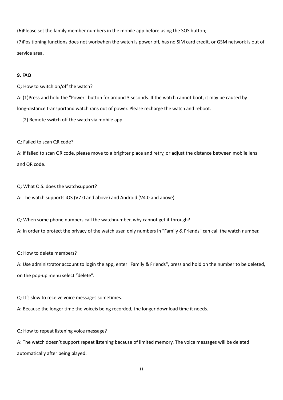(6)Please set the family member numbers in the mobile app before using the SOS button;

(7)Positioning functions does not workwhen the watch is power off, has no SIM card credit, or GSM network is out of service area.

#### **9. FAQ**

Q: How to switch on/off the watch?

A: (1)Press and hold the "Power" button for around 3 seconds. If the watch cannot boot, it may be caused by long-distance transportand watch rans out of power. Please recharge the watch and reboot.

(2) Remote switch off the watch via mobile app.

Q: Failed to scan QR code?

A: If failed to scan QR code, please move to a brighter place and retry, or adjust the distance between mobile lens and QR code.

Q: What O.S. does the watchsupport?

A: The watch supports iOS (V7.0 and above) and Android (V4.0 and above).

Q: When some phone numbers call the watchnumber, why cannot get it through?

A: In order to protect the privacy of the watch user, only numbers in "Family & Friends" can call the watch number.

Q: How to delete members?

A: Use administrator account to login the app, enter "Family & Friends", press and hold on the number to be deleted, on the pop-up menu select "delete".

Q: It's slow to receive voice messages sometimes.

A: Because the longer time the voiceis being recorded, the longer download time it needs.

Q: How to repeat listening voice message?

A: The watch doesn't support repeat listening because of limited memory. The voice messages will be deleted automatically after being played.

11